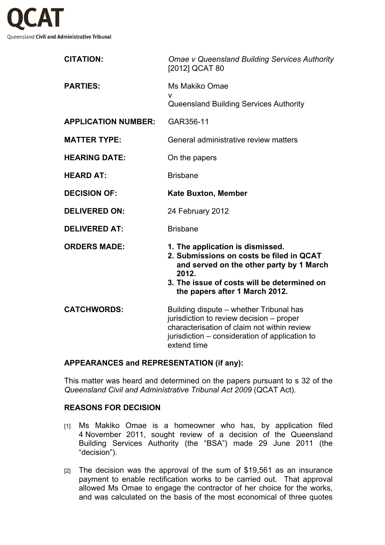

| <b>CITATION:</b>           | <b>Omae v Queensland Building Services Authority</b><br>[2012] QCAT 80                                                                                                                                             |
|----------------------------|--------------------------------------------------------------------------------------------------------------------------------------------------------------------------------------------------------------------|
| <b>PARTIES:</b>            | Ms Makiko Omae<br>V                                                                                                                                                                                                |
|                            | <b>Queensland Building Services Authority</b>                                                                                                                                                                      |
| <b>APPLICATION NUMBER:</b> | GAR356-11                                                                                                                                                                                                          |
| <b>MATTER TYPE:</b>        | General administrative review matters                                                                                                                                                                              |
| <b>HEARING DATE:</b>       | On the papers                                                                                                                                                                                                      |
| <b>HEARD AT:</b>           | <b>Brisbane</b>                                                                                                                                                                                                    |
| <b>DECISION OF:</b>        | <b>Kate Buxton, Member</b>                                                                                                                                                                                         |
| <b>DELIVERED ON:</b>       | 24 February 2012                                                                                                                                                                                                   |
| <b>DELIVERED AT:</b>       | <b>Brisbane</b>                                                                                                                                                                                                    |
| <b>ORDERS MADE:</b>        | 1. The application is dismissed.<br>2. Submissions on costs be filed in QCAT<br>and served on the other party by 1 March<br>2012.<br>3. The issue of costs will be determined on<br>the papers after 1 March 2012. |
| <b>CATCHWORDS:</b>         | Building dispute – whether Tribunal has<br>jurisdiction to review decision - proper<br>characterisation of claim not within review<br>jurisdiction – consideration of application to<br>extend time                |

### **APPEARANCES and REPRESENTATION (if any):**

This matter was heard and determined on the papers pursuant to s 32 of the *Queensland Civil and Administrative Tribunal Act 2009* (QCAT Act).

### **REASONS FOR DECISION**

- [1] Ms Makiko Omae is a homeowner who has, by application filed 4 November 2011, sought review of a decision of the Queensland Building Services Authority (the "BSA") made 29 June 2011 (the "decision").
- [2] The decision was the approval of the sum of \$19,561 as an insurance payment to enable rectification works to be carried out. That approval allowed Ms Omae to engage the contractor of her choice for the works, and was calculated on the basis of the most economical of three quotes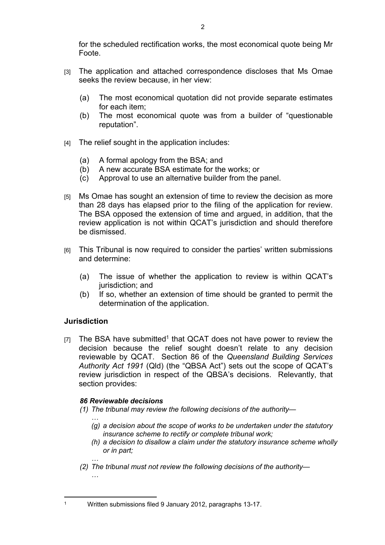- [3] The application and attached correspondence discloses that Ms Omae seeks the review because, in her view:
	- (a) The most economical quotation did not provide separate estimates for each item;
	- (b) The most economical quote was from a builder of "questionable reputation".
- $[4]$  The relief sought in the application includes:
	- (a) A formal apology from the BSA; and
	- (b) A new accurate BSA estimate for the works; or
	- (c) Approval to use an alternative builder from the panel.
- [5] Ms Omae has sought an extension of time to review the decision as more than 28 days has elapsed prior to the filing of the application for review. The BSA opposed the extension of time and argued, in addition, that the review application is not within QCAT's jurisdiction and should therefore be dismissed.
- [6] This Tribunal is now required to consider the parties' written submissions and determine:
	- (a) The issue of whether the application to review is within QCAT's jurisdiction; and
	- (b) If so, whether an extension of time should be granted to permit the determination of the application.

# **Jurisdiction**

1

 $[7]$  The BSA have submitted<sup>1</sup> that QCAT does not have power to review the decision because the relief sought doesn't relate to any decision reviewable by QCAT. Section 86 of the *Queensland Building Services Authority Act 1991* (Qld) (the "QBSA Act") sets out the scope of QCAT's review jurisdiction in respect of the QBSA's decisions. Relevantly, that section provides:

### *86 Reviewable decisions*

- *(1) The tribunal may review the following decisions of the authority—*
	- *… (g) a decision about the scope of works to be undertaken under the statutory insurance scheme to rectify or complete tribunal work;*
	- *(h) a decision to disallow a claim under the statutory insurance scheme wholly or in part;*
- *… (2) The tribunal must not review the following decisions of the authority— …*

Written submissions filed 9 January 2012, paragraphs 13-17.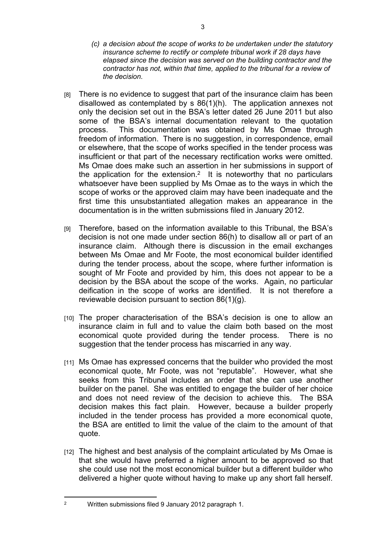- *(c) a decision about the scope of works to be undertaken under the statutory insurance scheme to rectify or complete tribunal work if 28 days have elapsed since the decision was served on the building contractor and the contractor has not, within that time, applied to the tribunal for a review of the decision.*
- [8] There is no evidence to suggest that part of the insurance claim has been disallowed as contemplated by s 86(1)(h). The application annexes not only the decision set out in the BSA's letter dated 26 June 2011 but also some of the BSA's internal documentation relevant to the quotation process. This documentation was obtained by Ms Omae through freedom of information. There is no suggestion, in correspondence, email or elsewhere, that the scope of works specified in the tender process was insufficient or that part of the necessary rectification works were omitted. Ms Omae does make such an assertion in her submissions in support of the application for the extension.<sup>2</sup> It is noteworthy that no particulars whatsoever have been supplied by Ms Omae as to the ways in which the scope of works or the approved claim may have been inadequate and the first time this unsubstantiated allegation makes an appearance in the documentation is in the written submissions filed in January 2012.
- [9] Therefore, based on the information available to this Tribunal, the BSA's decision is not one made under section 86(h) to disallow all or part of an insurance claim. Although there is discussion in the email exchanges between Ms Omae and Mr Foote, the most economical builder identified during the tender process, about the scope, where further information is sought of Mr Foote and provided by him, this does not appear to be a decision by the BSA about the scope of the works. Again, no particular deification in the scope of works are identified. It is not therefore a reviewable decision pursuant to section 86(1)(g).
- [10] The proper characterisation of the BSA's decision is one to allow an insurance claim in full and to value the claim both based on the most economical quote provided during the tender process. There is no suggestion that the tender process has miscarried in any way.
- [11] Ms Omae has expressed concerns that the builder who provided the most economical quote, Mr Foote, was not "reputable". However, what she seeks from this Tribunal includes an order that she can use another builder on the panel. She was entitled to engage the builder of her choice and does not need review of the decision to achieve this. The BSA decision makes this fact plain. However, because a builder properly included in the tender process has provided a more economical quote, the BSA are entitled to limit the value of the claim to the amount of that quote.
- [12] The highest and best analysis of the complaint articulated by Ms Omae is that she would have preferred a higher amount to be approved so that she could use not the most economical builder but a different builder who delivered a higher quote without having to make up any short fall herself.

2

Written submissions filed 9 January 2012 paragraph 1.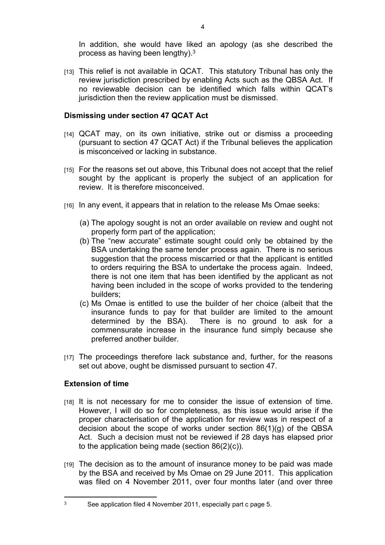In addition, she would have liked an apology (as she described the process as having been lengthy).<sup>3</sup>

[13] This relief is not available in QCAT. This statutory Tribunal has only the review jurisdiction prescribed by enabling Acts such as the QBSA Act. If no reviewable decision can be identified which falls within QCAT's jurisdiction then the review application must be dismissed.

## **Dismissing under section 47 QCAT Act**

- [14] QCAT may, on its own initiative, strike out or dismiss a proceeding (pursuant to section 47 QCAT Act) if the Tribunal believes the application is misconceived or lacking in substance.
- [15] For the reasons set out above, this Tribunal does not accept that the relief sought by the applicant is properly the subject of an application for review. It is therefore misconceived.
- [16] In any event, it appears that in relation to the release Ms Omae seeks:
	- (a) The apology sought is not an order available on review and ought not properly form part of the application;
	- (b) The "new accurate" estimate sought could only be obtained by the BSA undertaking the same tender process again. There is no serious suggestion that the process miscarried or that the applicant is entitled to orders requiring the BSA to undertake the process again. Indeed, there is not one item that has been identified by the applicant as not having been included in the scope of works provided to the tendering builders;
	- (c) Ms Omae is entitled to use the builder of her choice (albeit that the insurance funds to pay for that builder are limited to the amount determined by the BSA). There is no ground to ask for a commensurate increase in the insurance fund simply because she preferred another builder.
- [17] The proceedings therefore lack substance and, further, for the reasons set out above, ought be dismissed pursuant to section 47.

# **Extension of time**

3

- [18] It is not necessary for me to consider the issue of extension of time. However, I will do so for completeness, as this issue would arise if the proper characterisation of the application for review was in respect of a decision about the scope of works under section 86(1)(g) of the QBSA Act. Such a decision must not be reviewed if 28 days has elapsed prior to the application being made (section 86(2)(c)).
- [19] The decision as to the amount of insurance money to be paid was made by the BSA and received by Ms Omae on 29 June 2011. This application was filed on 4 November 2011, over four months later (and over three

See application filed 4 November 2011, especially part c page 5.